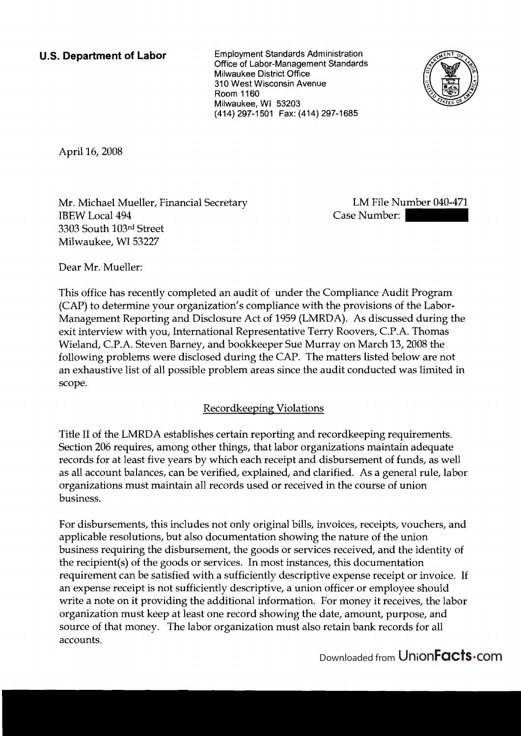**U.S. Department of Labor** Employment Standards Administration Office of Labor-Management Standards Milwaukee District Office 310 West Wisconsin Avenue Room 1160 Milwaukee, WI 53203 (414) 297-1501 Fax: (414) 297-1685



April 16,2008

Mr. Michael Mueller, Financial Secretary IBEW Local 494 3303 South 103rd Street Milwaukee, WI 53227

LM File Number 040-471 Case Number: 1

Dear Mr. Mueller:

This office has recently completed an audit of under the Compliance Audit Program (CAP) to determine your organization's compliance with the provisions of the Labor-Management Reporting and Disclosure Act of 1959 (LMRDA). As discussed during the exit interview with you, International Representative Terry Roovers, C.P.A. Thomas Wieland, C.P.A. Steven Barney, and bookkeeper Sue Murray on March 13,2008 the following problems were disclosed during the CAP. The matters listed below are not an exhaustive list of all possible problem areas since the audit conducted was limited in scope.

# Recordkeeping Violations

Title I1 of the LMRDA establishes certain reporting and recordkeeping requirements. Section 206 requires, among other things, that labor organizations maintain adequate records for at least five years by which each receipt and disbursement of funds, as well as all account balances, can be verified, explained, and clarified. As a general rule, labor organizations must maintain all records used or received in the course of union business.

For disbursements, this includes not only original bills, invoices, receipts, vouchers, and applicable resolutions, but also documentation showing the nature of the union business requiring the disbursement, the goods or services received, and the identity of the recipient(s) of the goods or services. In most instances, this documentation requirement can be satisfied with a sufficiently descriptive expense receipt or invoice. If an expense receipt is not sufficiently descriptive, a union officer or employee should write a note on it providing the additional information. For money it receives, the labor organization must keep at least one record showing the date, amount, purpose, and source of that money. The labor organization must also retain bank records for all accounts.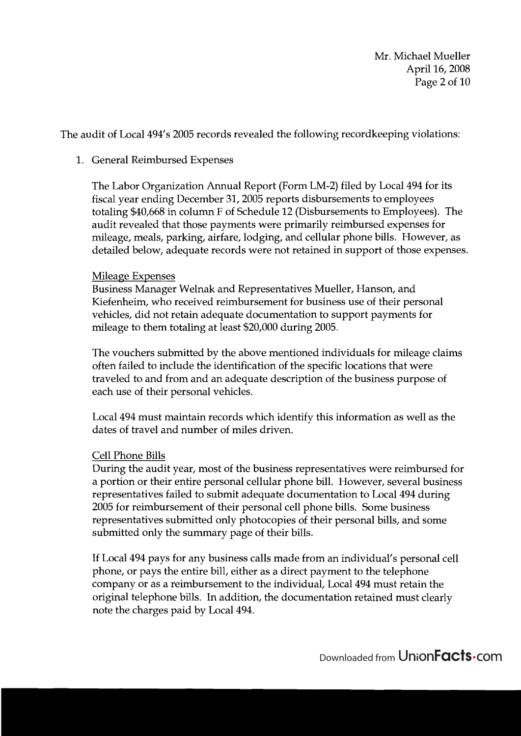Mr. Michael Mueller April 16,2008 Page 2 of 10

The audit of Local 494's 2005 records revealed the following recordkeeping violations:

### 1. General Reimbursed Expenses

The Labor Organization Annual Report (Form LM-2) filed by Local 494 for its fiscal year ending December 31,2005 reports disbursements to employees totaling \$40,668 in column F of Schedule 12 (Disbursements to Employees). The audit revealed that those payments were primarily reimbursed expenses for mileage, meals, parking, airfare, lodging, and cellular phone bills. However, as detailed below, adequate records were not retained in support of those expenses.

### Mileage Expenses

Business Manager Welnak and Representatives Mueller, Hanson, and Kiefenheim, who received reimbursement for business use of their personal vehicles, did not retain adequate documentation to support payments for mileage to them totaling at least \$20,000 during 2005.

The vouchers submitted by the above mentioned individuals for mileage claims often failed to include the identification of the specific locations that were traveled to and from and an adequate description of the business purpose of each use of their personal vehicles.

Local 494 must maintain records which identify this information as well as the dates of travel and number of miles driven.

### Cell Phone Bills

During the audit year, most of the business representatives were reimbursed for a portion or their entire personal cellular phone bill. However, several business representatives failed to submit adequate documentation to Local 494 during 2005 for reimbursement of their personal cell phone bills. Some business representatives submitted only photocopies of their personal bills, and some submitted only the summary page of their bills.

If Local 494 pays for any business calls made from an individual's personal cell phone, or pays the entire bill, either as a direct payment to the telephone company or as a reimbursement to the individual, Local 494 must retain the original telephone bills. In addition, the documentation retained must clearly note the charges paid by Local 494.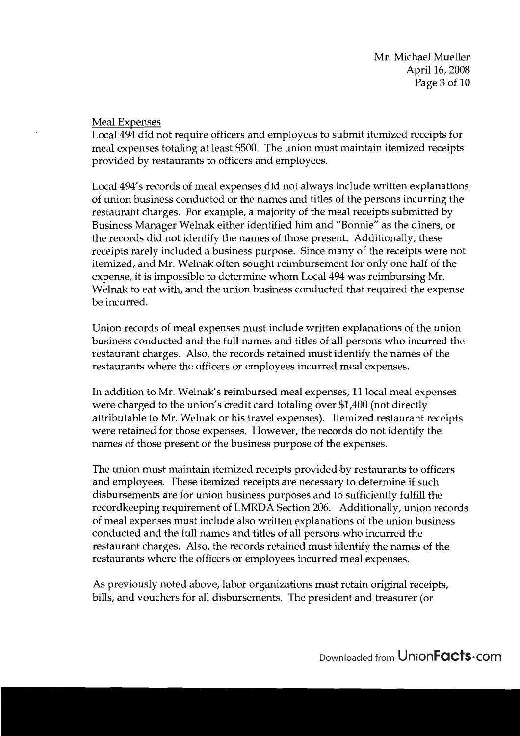### Meal Expenses

Local 494 did not require officers and employees to submit itemized receipts for meal expenses totaling at least \$500. The union must maintain itemized receipts provided by restaurants to officers and employees.

Local 494's records of meal expenses did not always include written explanations of union business conducted or the names and titles of the persons incurring the restaurant charges. For example, a majority of the meal receipts submitted by Business Manager Welnak either identified him and "Bonnie" as the diners, or the records did not identify the names of those present. Additionally, these receipts rarely included a business purpose. Since many of the receipts were not itemized, and Mr. Welnak often sought reimbursement for only one half of the expense, it is impossible to determine whom Local 494 was reimbursing Mr. Welnak to eat with, and the union business conducted that required the expense be incurred.

Union records of meal expenses must include written explanations of the union business conducted and the full names and titles of all persons who incurred the restaurant charges. Also, the records retained must identify the names of the restaurants where the officers or employees incurred meal expenses.

In addition to Mr. Welnak's reimbursed meal expenses, 11 local meal expenses were charged to the union's credit card totaling over \$1,400 (not directly attributable to Mr. Welnak or his travel expenses). Itemized restaurant receipts were retained for those expenses. However, the records do not identify the names of those present or the business purpose of the expenses.

The union must maintain itemized receipts provided-by restaurants to officers and employees. These itemized receipts are necessary to determine if such disbursements are for union business purposes and to sufficiently fulfill the recordkeeping requirement of LMRDA Section 206. Additionally, union records of meal expenses must include also written explanations of the union business conducted and the full names and titles of all persons who incurred the restaurant charges. Also, the records retained must identify the names of the restaurants where the officers or employees incurred meal expenses.

As previously noted above, labor organizations must retain original receipts, bills, and vouchers for all disbursements. The president and treasurer (or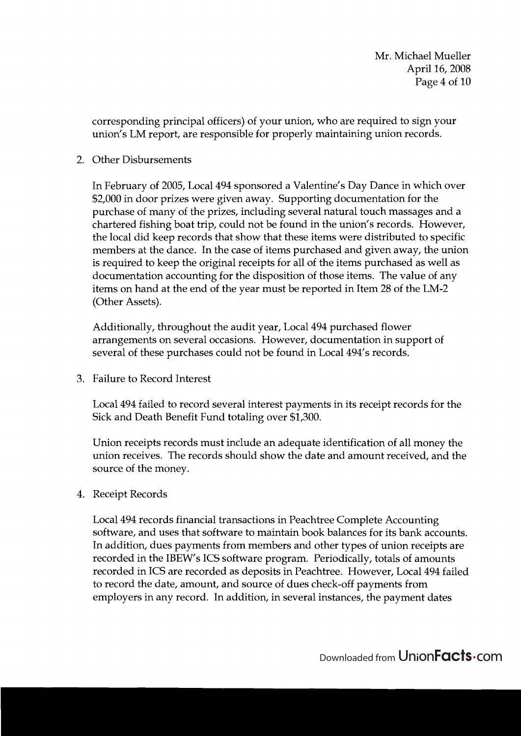corresponding principal officers) of your union, who are required to sign your union's LM report, are responsible for properly maintaining union records.

### 2. Other Disbursements

In February of 2005, Local 494 sponsored a Valentine's Day Dance in which over \$2,000 in door prizes were given away. Supporting documentation for the purchase of many of the prizes, including several natural touch massages and a chartered fishing boat trip, could not be found in the union's records. However, the local did keep records that show that these items were distributed to specific members at the dance. In the case of items purchased and given away, the union is required to keep the original receipts for all of the items purchased as well as documentation accounting for the disposition of those items. The value of any items on hand at the end of the year must be reported in Item 28 of the LM-2 (Other Assets).

Additionally, throughout the audit year, Local 494 purchased flower arrangements on several occasions. However, documentation in support of several of these purchases could not be found in Local 494's records.

3. Failure to Record Interest

Local 494 failed to record several interest payments in its receipt records for the Sick and Death Benefit Fund totaling over \$1,300.

Union receipts records must include an adequate identification of all money the union receives. The records should show the date and amount received, and the source of the money.

## 4. Receipt Records

Local 494 records financial transactions in Peachtree Complete Accounting software, and uses that software to maintain book balances for its bank accounts. In addition, dues payments from members and other types of union receipts are recorded in the IBEW's ICS software program. Periodically, totals of amounts recorded in ICS are recorded as deposits in Peachtree. However, Local 494 failed to record the date, amount, and source of dues check-off payments from employers in any record. In addition, in several instances, the payment dates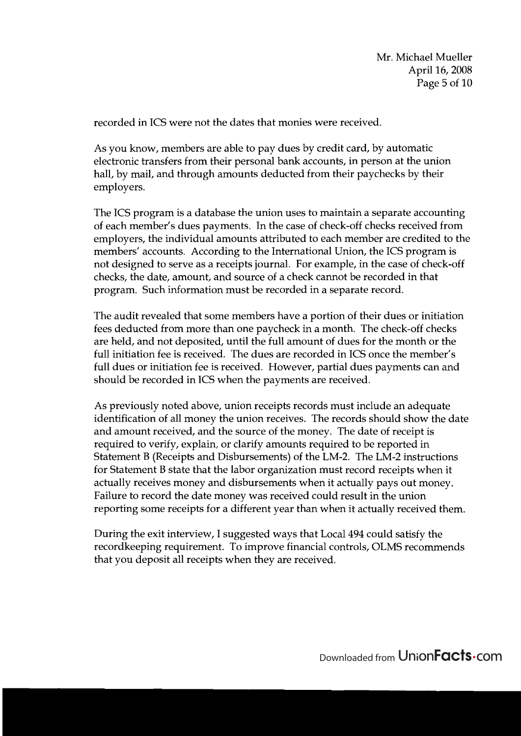recorded in ICS were not the dates that monies were received.

As you know, members are able to pay dues by credit card, by automatic electronic transfers from their personal bank accounts, in person at the union hall, by mail, and through amounts deducted from their paychecks by their employers.

The ICS program is a database the union uses to maintain a separate accounting of each member's dues payments. In the case of check-off checks received from employers, the individual amounts attributed to each member are credited to the members' accounts. According to the International Union, the ICS program is not designed to serve as a receipts journal. For example, in the case of check-off checks, the date, amount, and source of a check cannot be recorded in that program. Such information must be recorded in a separate record.

The audit revealed that some members have a portion of their dues or initiation fees deducted from more than one paycheck in a month. The check-off checks are held, and not deposited, until the full amount of dues for the month or the full initiation fee is received. The dues are recorded in ICS once the member's full dues or initiation fee is received. However, partial dues payments can and should be recorded in ICS when the payments are received.

As previously noted above, union receipts records must include an adequate identification of all money the union receives. The records should show the date and amount received, and the source of the money. The date of receipt is required to verify, explain, or clarify amounts required to be reported in Statement B (Receipts and Disbursements) of the LM-2. The LM-2 instructions for Statement B state that the labor organization must record receipts when it actually receives money and disbursements when it actually pays out money. Failure to record the date money was received could result in the union reporting some receipts for a different year than when it actually received them.

During the exit interview, I suggested ways that Local 494 could satisfy the recordkeeping requirement. To improve financial controls, OLMS recommends that you deposit all receipts when they are received.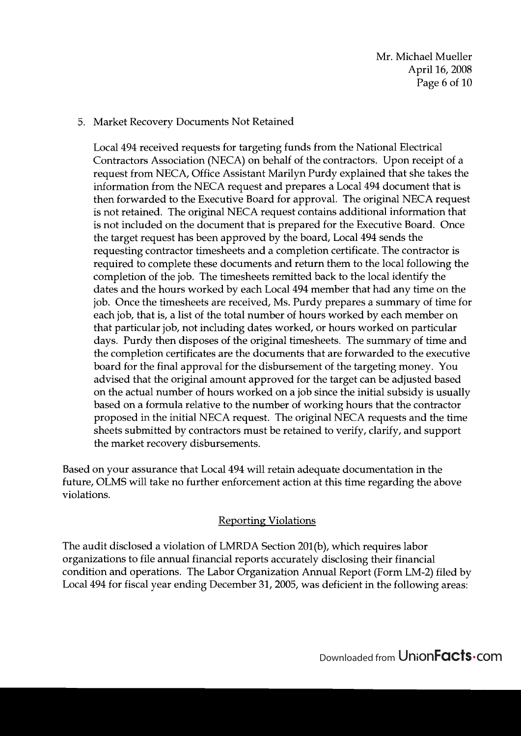### 5. Market Recovery Documents Not Retained

Local 494 received requests for targeting funds from the National Electrical Contractors Association (NECA) on behalf of the contractors. Upon receipt of a request from NECA, Office Assistant Marilyn Purdy explained that she takes the information from the NECA request and prepares a Local 494 document that is then forwarded to the Executive Board for approval. The original NECA request is not retained. The original NECA request contains additional information that is not included on the document that is prepared for the Executive Board. Once the target request has been approved by the board, Local 494 sends the requesting contractor timesheets and a completion certificate. The contractor is required to complete these documents and return them to the local following the completion of the job. The timesheets remitted back to the local identify the dates and the hours worked by each Local 494 member that had any time on the job. Once the timesheets are received, Ms. Purdy prepares a summary of time for each job, that is, a list of the total number of hours worked by each member on that particular job, not including dates worked, or hours worked on particular days. Purdy then disposes of the original timesheets. The summary of time and the completion certificates are the documents that are forwarded to the executive board for the final approval for the disbursement of the targeting money. You advised that the original amount approved for the target can be adjusted based on the actual number of hours worked on a job since the initial subsidy is usually based on a formula relative to the number of working hours that the contractor proposed in the initial NECA request. The original NECA requests and the time sheets submitted by contractors must be retained to verify, clarify, and support the market recovery disbursements.

Based on your assurance that Local 494 will retain adequate documentation in the future, OLMS will take no further enforcement action at this time regarding the above violations.

## Reporting Violations

The audit disclosed a violation of LMRDA Section 201(b), which requires labor organizations to file annual financial reports accurately disclosing their financial condition and operations. The Labor Organization Annual Report (Form LM-2) filed by Local 494 for fiscal year ending December 31, 2005, was deficient in the following areas: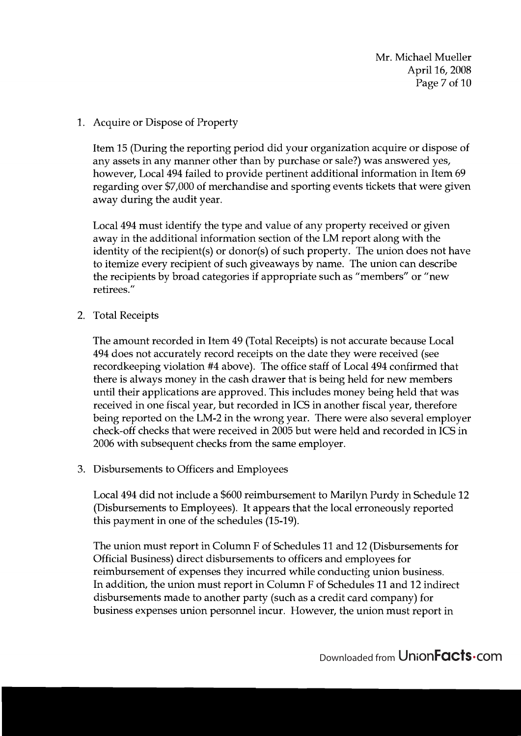Mr. Michael Mueller April 16,2008 Page 7 of 10

1. Acquire or Dispose of Property

Item 15 (During the reporting period did your organization acquire or dispose of any assets in any manner other than by purchase or sale?) was answered yes, however, Local 494 failed to provide pertinent additional information in Item 69 regarding over \$7,000 of merchandise and sporting events tickets that were given away during the audit year.

Local 494 must identify the type and value of any property received or given away in the additional information section of the LM report along with the identity of the recipient(s) or donor(s) of such property. The union does not have to itemize every recipient of such giveaways by name. The union can describe the recipients by broad categories if appropriate such as "members" or "new retirees."

2. Total Receipts

The amount recorded in Item 49 (Total Receipts) is not accurate because Local 494 does not accurately record receipts on the date they were received (see recordkeeping violation #4 above). The office staff of Local 494 confirmed that there is always money in the cash drawer that is being held for new members until their applications are approved. This includes money being held that was received in one fiscal year, but recorded in ICS in another fiscal year, therefore being reported on the LM-2 in the wrong year. There were also several employer check-off checks that were received in 2005 but were held and recorded in ICS in 2006 with subsequent checks from the same employer.

**3.** Disbursements to Officers and Employees

Local 494 did not include a \$600 reimbursement to Marilyn Purdy in Schedule 12 (Disbursements to Employees). It appears that the local erroneously reported this payment in one of the schedules (15-19).

The union must report in Column F of Schedules 11 and 12 (Disbursements for Official Business) direct disbursements to officers and employees for reimbursement of expenses they incurred while conducting union business. In addition, the union must report in Column F of Schedules 11 and 12 indirect disbursements made to another party (such as a credit card company) for business expenses union personnel incur. However, the union must report in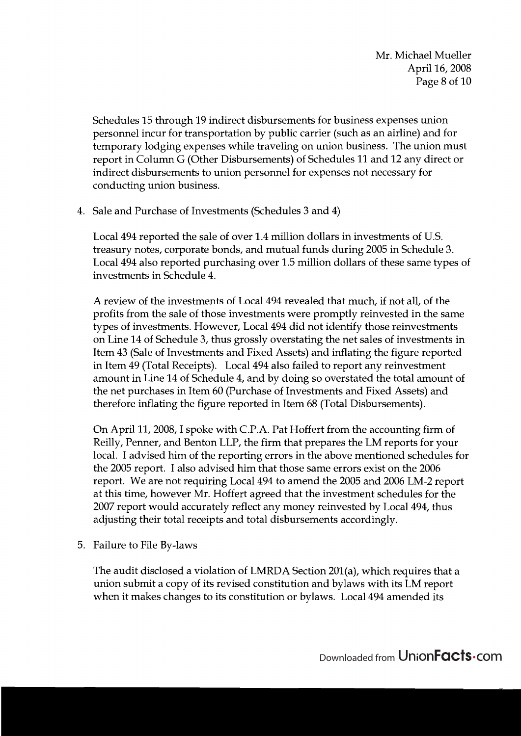Schedules 15 through 19 indirect disbursements for business expenses union personnel incur for transportation by public carrier (such as an airline) and for temporary lodging expenses while traveling on union business. The union must report in Column G (Other Disbursements) of Schedules 11 and 12 any direct or indirect disbursements to union personnel for expenses not necessary for conducting union business.

4. Sale and Purchase of Investments (Schedules 3 and 4)

Local 494 reported the sale of over 1.4 million dollars in investments of U.S. treasury notes, corporate bonds, and mutual funds during 2005 in Schedule 3. Local 494 also reported purchasing over 1.5 million dollars of these same types of investments in Schedule 4.

A review of the investments of Local 494 revealed that much, if not all, of the profits from the sale of those investments were promptly reinvested in the same types of investments. However, Local 494 did not identify those reinvestments on Line 14 of Schedule 3, thus grossly overstating the net sales of investments in Item 43 (Sale of Investments and Fixed Assets) and inflating the figure reported in Item 49 (Total Receipts). Local 494 also failed to report any reinvestment amount in Line 14 of Schedule 4, and by doing so overstated the total amount of the net purchases in Item 60 (Purchase of Investments and Fixed Assets) and therefore inflating the figure reported in Item 68 (Total Disbursements).

On April 11,2008, I spoke with C.P.A. Pat Hoffert from the accounting firm of Reilly, Penner, and Benton LLP, the firm that prepares the LM reports for your local. I advised him of the reporting errors in the above mentioned schedules for the 2005 report. I also advised him that those same errors exist on the 2006 report. We are not requiring Local 494 to amend the 2005 and 2006 LM-2 report at this time, however Mr. Hoffert agreed that the investment schedules for the 2007 report would accurately reflect any money reinvested by Local 494, thus adjusting their total receipts and total disbursements accordingly.

5. Failure to File By-laws

The audit disclosed a violation of LMRDA Section 201(a), which requires that a union submit a copy of its revised constitution and bylaws with its LM report when it makes changes to its constitution or bylaws. Local 494 amended its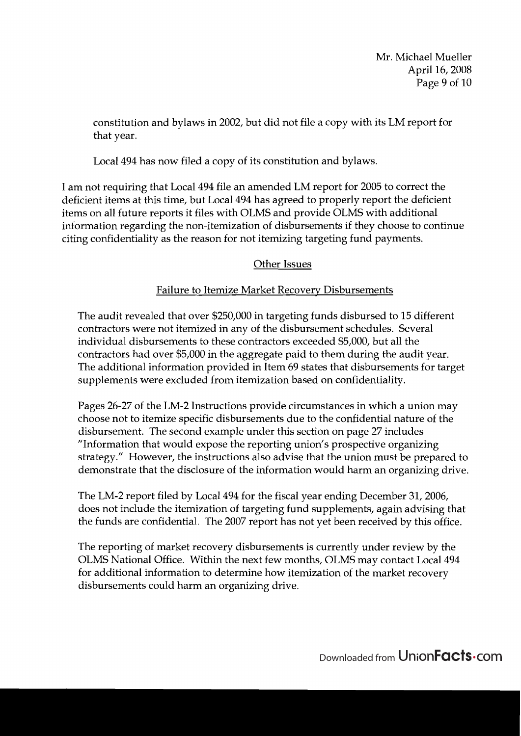Mr. Michael Mueller April 16,2008 Page 9 of 10

constitution and bylaws in 2002, but did not file a copy with its LM report for that year.

Local 494 has now filed a copy of its constitution and bylaws.

I am not requiring that Local 494 file an amended LM report for 2005 to correct the deficient items at this time, but Local 494 has agreed to properly report the deficient items on all future reports it files with OLMS and provide OLMS with additional information regarding the non-itemization of disbursements if they choose to continue citing confidentiality as the reason for not itemizing targeting fund payments.

## Other Issues

## Failure to Itemize Market Recovery Disbursements

The audit revealed that over \$250,000 in targeting funds disbursed to 15 different contractors were not itemized in any of the disbursement schedules. Several individual disbursements to these contractors exceeded \$5,000, but all the contractors had over \$5,000 in the aggregate paid to them during the audit year. The additional information provided in Item 69 states that disbursements for target supplements were excluded from itemization based on confidentiality.

Pages 26-27 of the LM-2 Instructions provide circumstances in which a union may choose not to itemize specific disbursements due to the confidential nature of the disbursement. The second example under this section on page 27 includes "Information that would expose the reporting union's prospective organizing strategy." However, the instructions also advise that the union must be prepared to demonstrate that the disclosure of the information would harm an organizing drive.

The LM-2 report filed by Local 494 for the fiscal year ending December 31,2006, does not include the itemization of targeting fund supplements, again advising that the funds are confidential. The 2007 report has not yet been received by this office.

The reporting of market recovery disbursements is currently under review by the OLMS National Office. Within the next few months, OLMS may contact Local 494 for additional information to determine how itemization of the market recovery disbursements could harm an organizing drive.